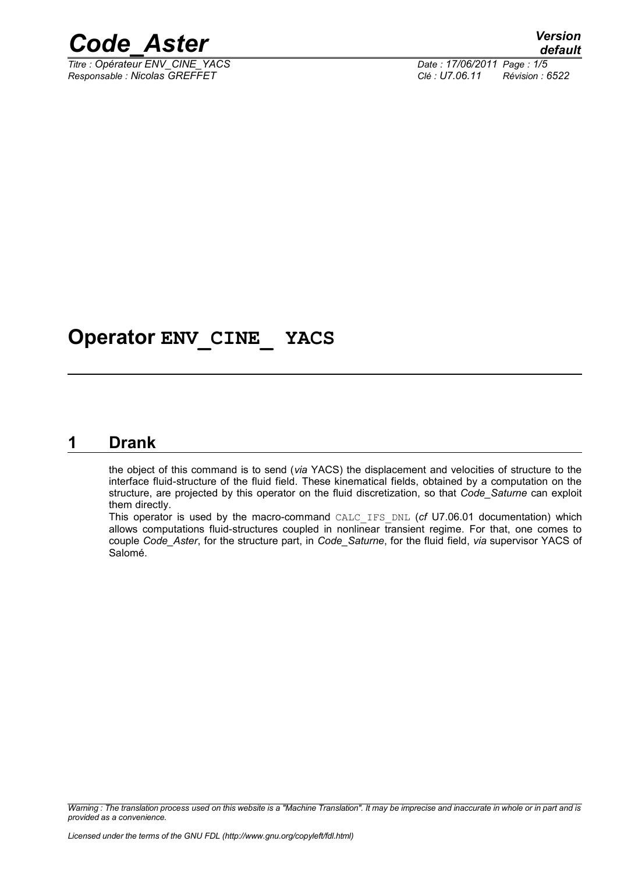

*Titre : Opérateur ENV\_CINE\_YACS Date : 17/06/2011 Page : 1/5 Responsable : Nicolas GREFFET Clé : U7.06.11 Révision : 6522*

## **Operator ENV\_CINE\_ YACS**

#### **1 Drank**

<span id="page-0-0"></span>the object of this command is to send (*via* YACS) the displacement and velocities of structure to the interface fluid-structure of the fluid field. These kinematical fields, obtained by a computation on the structure, are projected by this operator on the fluid discretization, so that *Code\_Saturne* can exploit them directly.

This operator is used by the macro-command CALC\_IFS\_DNL (*cf* U7.06.01 documentation) which allows computations fluid-structures coupled in nonlinear transient regime. For that, one comes to couple *Code\_Aster*, for the structure part, in *Code\_Saturne*, for the fluid field, *via* supervisor YACS of Salomé.

*Warning : The translation process used on this website is a "Machine Translation". It may be imprecise and inaccurate in whole or in part and is provided as a convenience.*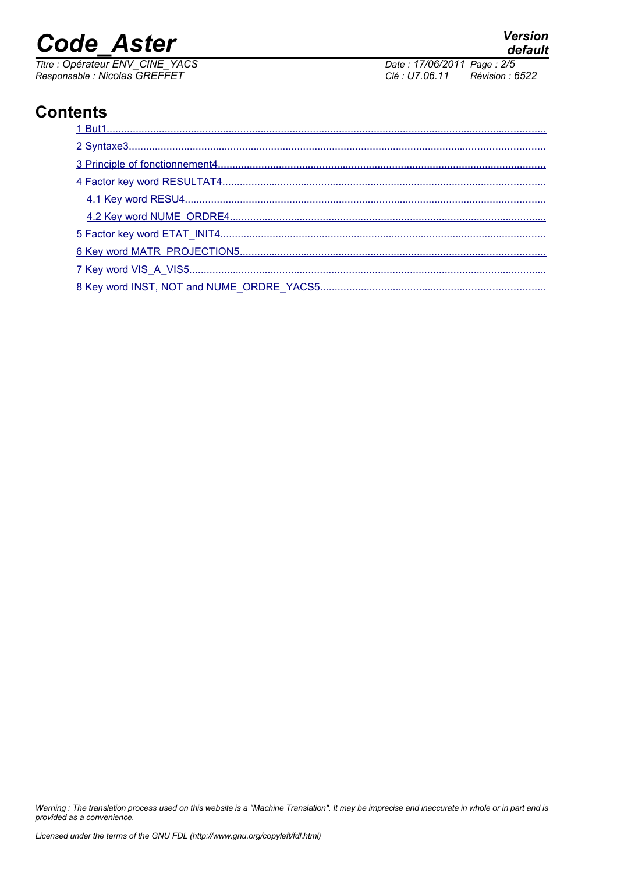# **Code Aster**

Titre : Opérateur ENV\_CINE\_YACS<br>Responsable : Nicolas GREFFET

Date: 17/06/2011 Page: 2/5 Clé : U7.06.11 Révision : 6522

### **Contents**

| 8 Key word INST NOT and NUME ORDRE YACS5 |
|------------------------------------------|

Warning : The translation process used on this website is a "Machine Translation". It may be imprecise and inaccurate in whole or in part and is provided as a convenience.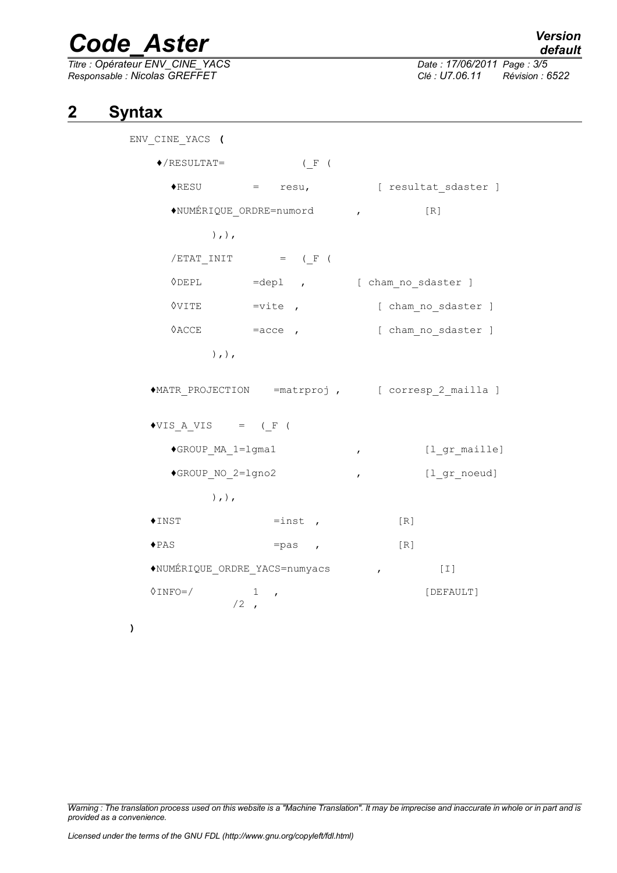## *Code\_Aster Version*

*Titre : Opérateur ENV\_CINE\_YACS Date : 17/06/2011 Page : 3/5 Responsable : Nicolas GREFFET Clé : U7.06.11 Révision : 6522*

#### **2 Syntax**

**)**

<span id="page-2-0"></span>ENV\_CINE\_YACS **(**  $\blacklozenge$ /RESULTAT= (F) ♦RESU = resu, [ resultat\_sdaster ] ♦NUMÉRIQUE\_ORDRE=numord , [R]  $),$ ),  $/ETAT$  INIT = (F ( ◊DEPL =depl , [ cham\_no\_sdaster ] ◊VITE =vite , [ cham\_no\_sdaster ] **◊ACCE** =acce , in eacce learning and sdaster ] ),),  $\triangleleft$ MATR PROJECTION =matrproj, [ corresp 2 mailla ]  $\triangle VIS$  A VIS = (F ( ♦GROUP\_MA\_1=lgma1 , [l\_gr\_maille] ♦GROUP\_NO\_2=lgno2 , [l\_gr\_noeud]  $),$ ),  $\triangle$ INST  $=$ inst , [R]  $\triangle$ PAS =pas , [R] ♦NUMÉRIQUE\_ORDRE\_YACS=numyacs , [I]  $\Diamond$ INFO=/ 1,  $/2$ ,

*Warning : The translation process used on this website is a "Machine Translation". It may be imprecise and inaccurate in whole or in part and is provided as a convenience.*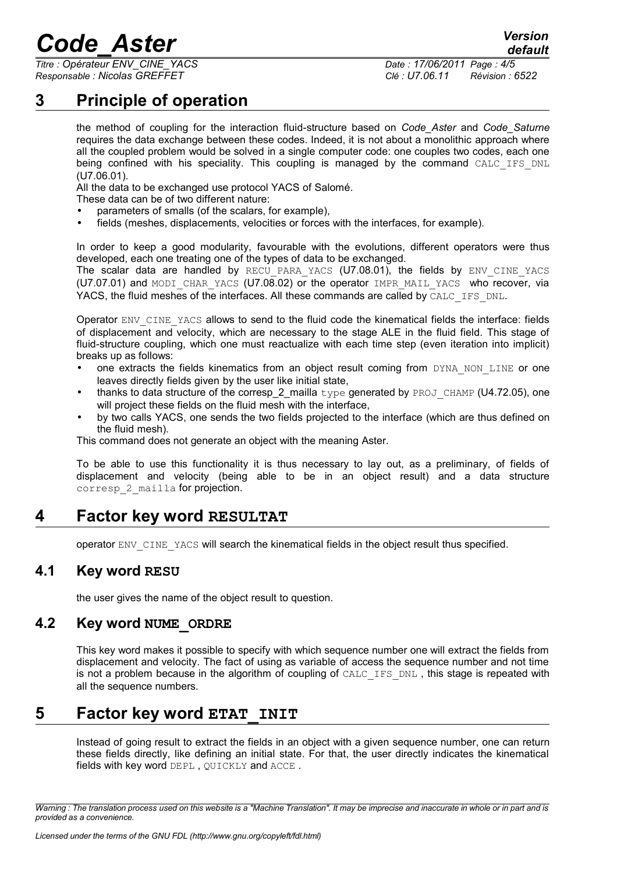# *Code\_Aster Version*

*Titre : Opérateur ENV\_CINE\_YACS Date : 17/06/2011 Page : 4/5 Responsable : Nicolas GREFFET Clé : U7.06.11 Révision : 6522*

*default*

### **3 Principle of operation**

<span id="page-3-4"></span>the method of coupling for the interaction fluid-structure based on *Code\_Aster* and *Code\_Saturne* requires the data exchange between these codes. Indeed, it is not about a monolithic approach where all the coupled problem would be solved in a single computer code: one couples two codes, each one being confined with his speciality. This coupling is managed by the command CALC IFS DNL (U7.06.01).

All the data to be exchanged use protocol YACS of Salomé.

These data can be of two different nature:

- parameters of smalls (of the scalars, for example),
- fields (meshes, displacements, velocities or forces with the interfaces, for example).

In order to keep a good modularity, favourable with the evolutions, different operators were thus developed, each one treating one of the types of data to be exchanged.

The scalar data are handled by RECU PARA YACS (U7.08.01), the fields by ENV CINE YACS (U7.07.01) and MODI CHAR YACS (U7.08.02) or the operator IMPR MAIL YACS who recover, via YACS, the fluid meshes of the interfaces. All these commands are called by CALC\_IFS\_DNL.

Operator ENV\_CINE\_YACS allows to send to the fluid code the kinematical fields the interface: fields of displacement and velocity, which are necessary to the stage ALE in the fluid field. This stage of fluid-structure coupling, which one must reactualize with each time step (even iteration into implicit) breaks up as follows:

- one extracts the fields kinematics from an object result coming from DYNA NON LINE or one leaves directly fields given by the user like initial state,
- thanks to data structure of the corresp 2 mailla  $type$  generated by PROJ CHAMP (U4.72.05), one will project these fields on the fluid mesh with the interface,
- by two calls YACS, one sends the two fields projected to the interface (which are thus defined on the fluid mesh).

This command does not generate an object with the meaning Aster.

To be able to use this functionality it is thus necessary to lay out, as a preliminary, of fields of displacement and velocity (being able to be in an object result) and a data structure corresp 2 mailla for projection.

#### **4 Factor key word RESULTAT**

<span id="page-3-3"></span><span id="page-3-2"></span>operator ENV\_CINE\_YACS will search the kinematical fields in the object result thus specified.

#### **4.1 Key word RESU**

<span id="page-3-1"></span>the user gives the name of the object result to question.

#### **4.2 Key word NUME\_ORDRE**

This key word makes it possible to specify with which sequence number one will extract the fields from displacement and velocity. The fact of using as variable of access the sequence number and not time is not a problem because in the algorithm of coupling of CALC\_IFS\_DNL, this stage is repeated with all the sequence numbers.

#### **5 Factor key word ETAT\_INIT**

<span id="page-3-0"></span>Instead of going result to extract the fields in an object with a given sequence number, one can return these fields directly, like defining an initial state. For that, the user directly indicates the kinematical fields with key word DEPL , QUICKLY and ACCE .

*Warning : The translation process used on this website is a "Machine Translation". It may be imprecise and inaccurate in whole or in part and is provided as a convenience.*